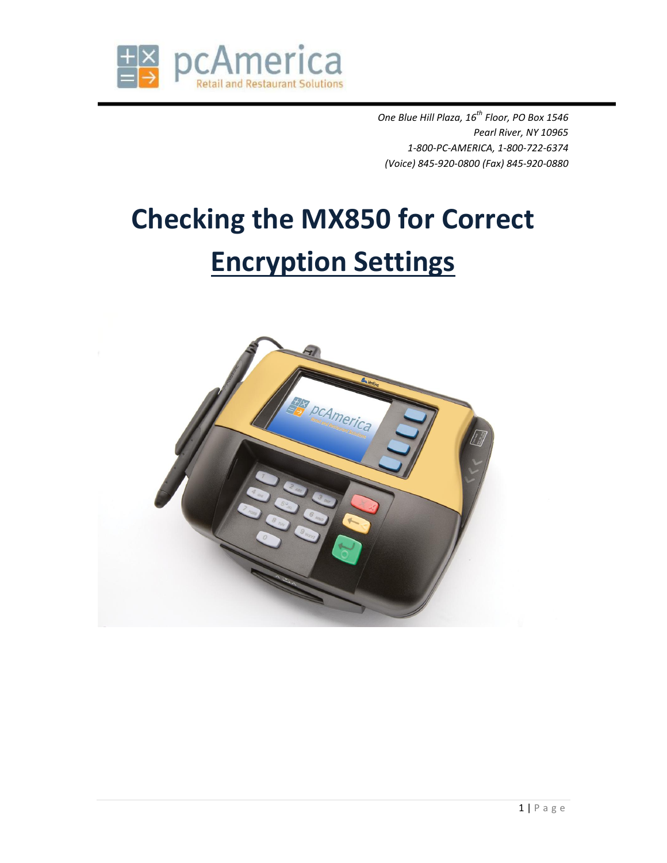

*One Blue Hill Plaza, 16th Floor, PO Box 1546 Pearl River, NY 10965 1-800-PC-AMERICA, 1-800-722-6374 (Voice) 845-920-0800 (Fax) 845-920-0880*

## **Checking the MX850 for Correct Encryption Settings**

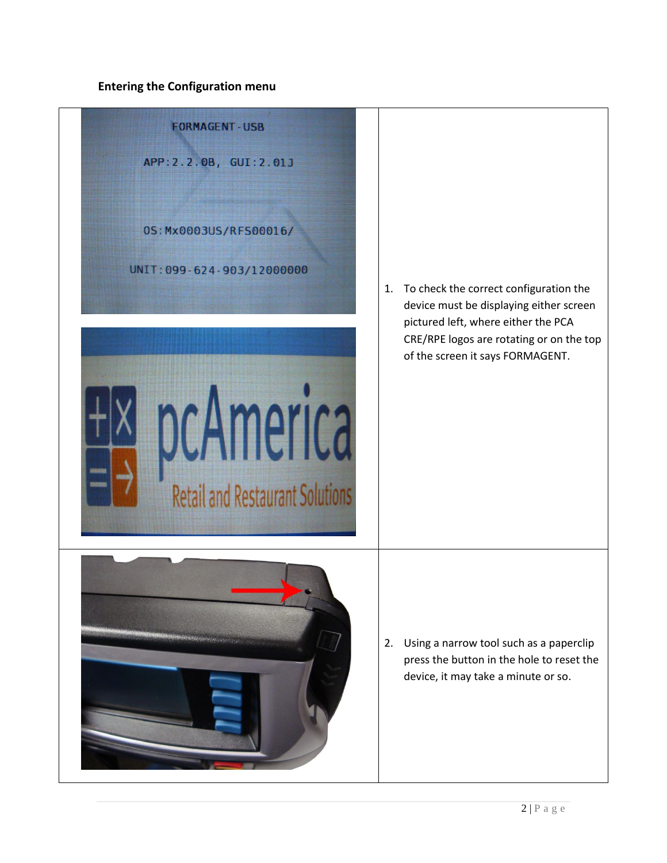## **Entering the Configuration menu**

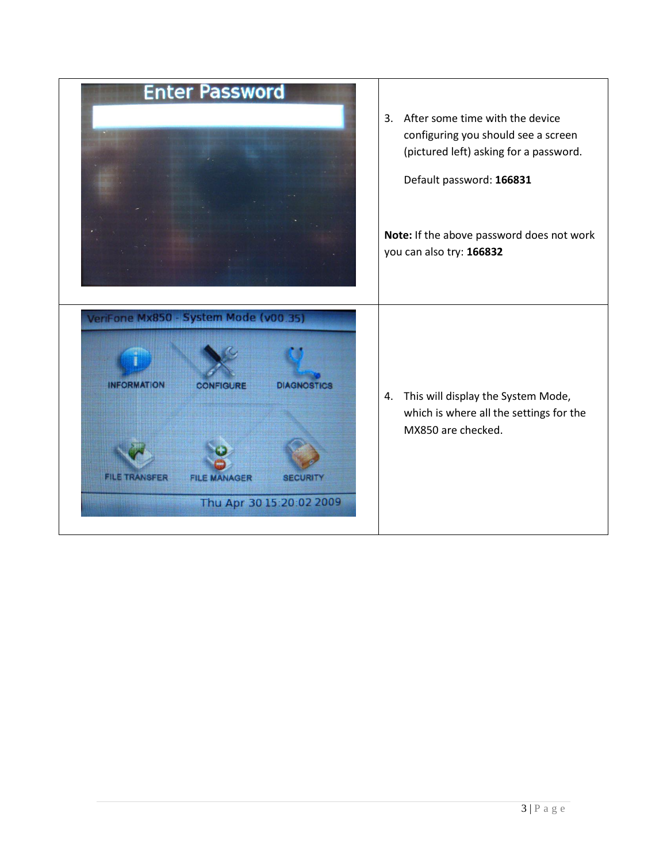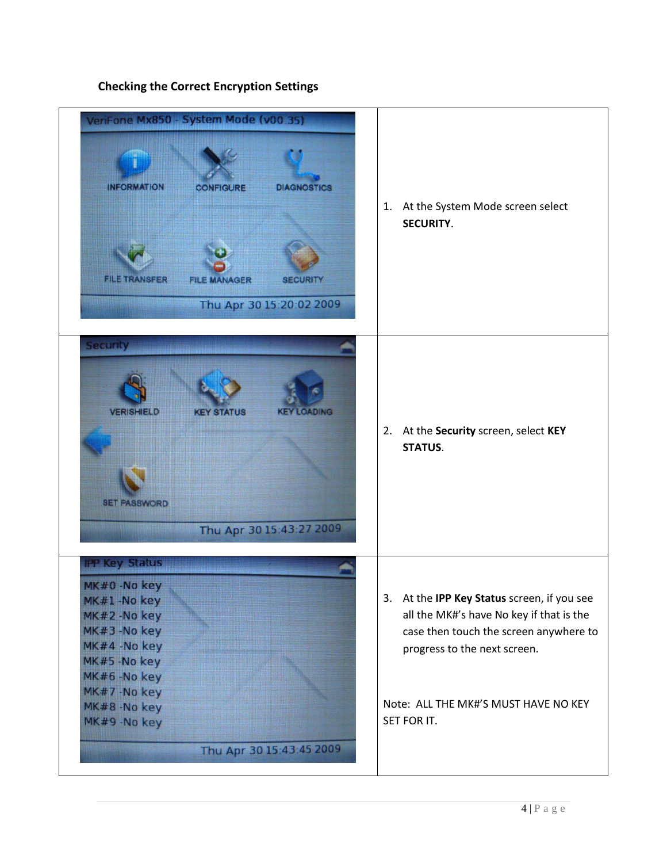

## **Checking the Correct Encryption Settings**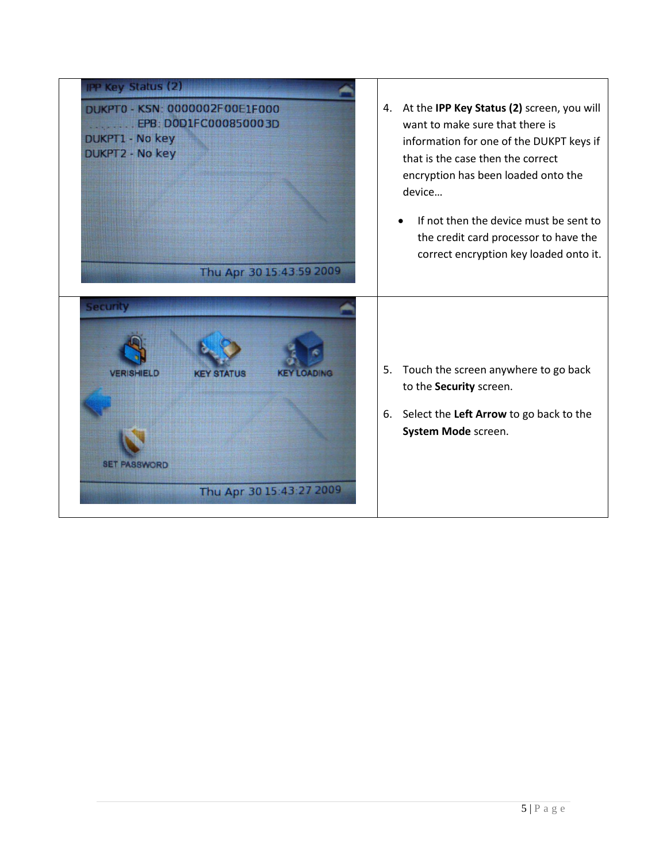